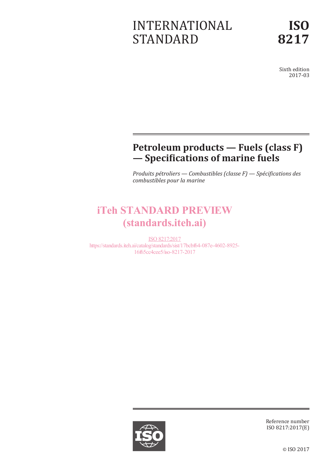# INTERNATIONAL STANDARD

Sixth edition 2017-03

## **Petroleum products — Fuels (class F) — Specifications of marine fuels**

*Produits pétroliers — Combustibles (classe F) — Spécifications des combustibles pour la marine*

# iTeh STANDARD PREVIEW (standards.iteh.ai)

ISO 8217:2017 https://standards.iteh.ai/catalog/standards/sist/17bcbf64-087e-4602-8925- 16f65cc4cee5/iso-8217-2017



Reference number ISO 8217:2017(E)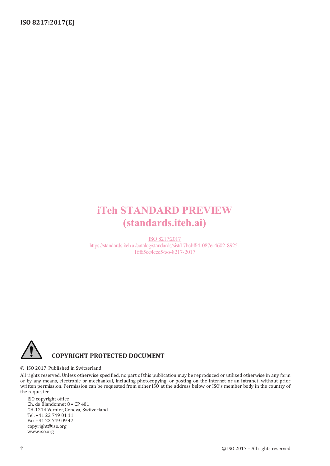# iTeh STANDARD PREVIEW (standards.iteh.ai)

ISO 8217:2017 https://standards.iteh.ai/catalog/standards/sist/17bcbf64-087e-4602-8925- 16f65cc4cee5/iso-8217-2017



#### © ISO 2017, Published in Switzerland

All rights reserved. Unless otherwise specified, no part of this publication may be reproduced or utilized otherwise in any form or by any means, electronic or mechanical, including photocopying, or posting on the internet or an intranet, without prior written permission. Permission can be requested from either ISO at the address below or ISO's member body in the country of the requester.

ISO copyright office Ch. de Blandonnet 8 • CP 401 CH-1214 Vernier, Geneva, Switzerland Tel. +41 22 749 01 11 Fax +41 22 749 09 47 copyright@iso.org www.iso.org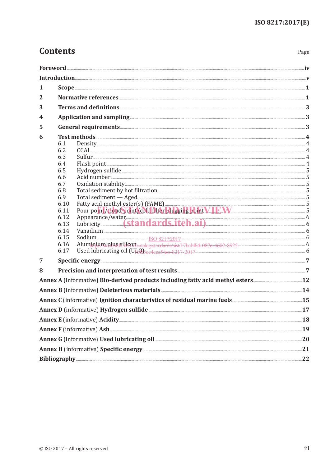Page

## **Contents**

| 1                                                                                                                                                                                                                                              |              |                                                                                                                   |  |
|------------------------------------------------------------------------------------------------------------------------------------------------------------------------------------------------------------------------------------------------|--------------|-------------------------------------------------------------------------------------------------------------------|--|
| 2                                                                                                                                                                                                                                              |              |                                                                                                                   |  |
| 3                                                                                                                                                                                                                                              |              |                                                                                                                   |  |
|                                                                                                                                                                                                                                                |              |                                                                                                                   |  |
| 4                                                                                                                                                                                                                                              |              | Application and sampling <u>Electronian and sampling</u> 3                                                        |  |
| 5                                                                                                                                                                                                                                              |              |                                                                                                                   |  |
| 6                                                                                                                                                                                                                                              |              |                                                                                                                   |  |
|                                                                                                                                                                                                                                                | 6.1          |                                                                                                                   |  |
|                                                                                                                                                                                                                                                | 6.2          |                                                                                                                   |  |
|                                                                                                                                                                                                                                                | 6.3<br>6.4   |                                                                                                                   |  |
|                                                                                                                                                                                                                                                | 6.5          |                                                                                                                   |  |
|                                                                                                                                                                                                                                                | 6.6          |                                                                                                                   |  |
|                                                                                                                                                                                                                                                | 6.7          |                                                                                                                   |  |
|                                                                                                                                                                                                                                                | 6.8          |                                                                                                                   |  |
|                                                                                                                                                                                                                                                | 6.9          |                                                                                                                   |  |
|                                                                                                                                                                                                                                                | 6.10         |                                                                                                                   |  |
|                                                                                                                                                                                                                                                | 6.11         | Fatty acid methyl ester(s) (FAME)<br>Pour point/cloud point/cold filter plugging point <b>V.I.F.W</b>             |  |
|                                                                                                                                                                                                                                                | 6.12         | Appearance/water (standards.iteh.ai) 6                                                                            |  |
|                                                                                                                                                                                                                                                | 6.13         |                                                                                                                   |  |
|                                                                                                                                                                                                                                                | 6.14         |                                                                                                                   |  |
|                                                                                                                                                                                                                                                | 6.15<br>6.16 |                                                                                                                   |  |
|                                                                                                                                                                                                                                                | 6.17         |                                                                                                                   |  |
| 7                                                                                                                                                                                                                                              |              |                                                                                                                   |  |
| 8                                                                                                                                                                                                                                              |              | Precision and interpretation of test results <b>Execution</b> 3                                                   |  |
|                                                                                                                                                                                                                                                |              |                                                                                                                   |  |
|                                                                                                                                                                                                                                                |              |                                                                                                                   |  |
|                                                                                                                                                                                                                                                |              |                                                                                                                   |  |
|                                                                                                                                                                                                                                                |              |                                                                                                                   |  |
|                                                                                                                                                                                                                                                |              | Annex D (informative) Hydrogen sulfide <b>Manual Annex D</b> (informative) Hydrogen sulfide <b>Manual Annex D</b> |  |
|                                                                                                                                                                                                                                                |              |                                                                                                                   |  |
| Annex F (informative) Ash 29                                                                                                                                                                                                                   |              |                                                                                                                   |  |
| Annex G (informative) Used lubricating oil <b>Annex G</b> (informative) Used lubricating oil <b>Annex G</b> (informative) Used lubricating oil <b>Annex Annex Annex Annex Annex Annex Annex Annex Annex Annex Annex Annex Annex Annex Anne</b> |              |                                                                                                                   |  |
|                                                                                                                                                                                                                                                |              | Annex H (informative) Specific energy 21                                                                          |  |
|                                                                                                                                                                                                                                                |              |                                                                                                                   |  |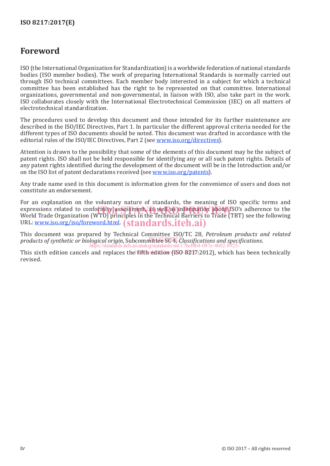## **Foreword**

ISO (the International Organization for Standardization) is a worldwide federation of national standards bodies (ISO member bodies). The work of preparing International Standards is normally carried out through ISO technical committees. Each member body interested in a subject for which a technical committee has been established has the right to be represented on that committee. International organizations, governmental and non-governmental, in liaison with ISO, also take part in the work. ISO collaborates closely with the International Electrotechnical Commission (IEC) on all matters of electrotechnical standardization.

The procedures used to develop this document and those intended for its further maintenance are described in the ISO/IEC Directives, Part 1. In particular the different approval criteria needed for the different types of ISO documents should be noted. This document was drafted in accordance with the editorial rules of the ISO/IEC Directives, Part 2 (see www.iso.org/directives).

Attention is drawn to the possibility that some of the elements of this document may be the subject of patent rights. ISO shall not be held responsible for identifying any or all such patent rights. Details of any patent rights identified during the development of the document will be in the Introduction and/or on the ISO list of patent declarations received (see www.iso.org/patents).

Any trade name used in this document is information given for the convenience of users and does not constitute an endorsement.

For an explanation on the voluntary nature of standards, the meaning of ISO specific terms and expressions related to conformity assessment, as well as information about ISO's adherence to the<br>World Trade Organization (WTO) principles in the Technical Barriers to Trade (TBT) see the following World Trade Organization (WTO) principles in the Technical Barriers to Trade (TBT) see the following URL: <u>www.iso.org/iso/foreword.html</u>. (standards.iteh.ai)

This document was prepared by Technical Committee ISO/TC 28, *Petroleum products and related products of synthetic or biological origin*, Subcommittee SC 4, *Classifications and specifications.* iteh.ai/catalog/standard

This sixth edition cancels and replaces the fifth edition (ISO-8217:2012), which has been technically revised.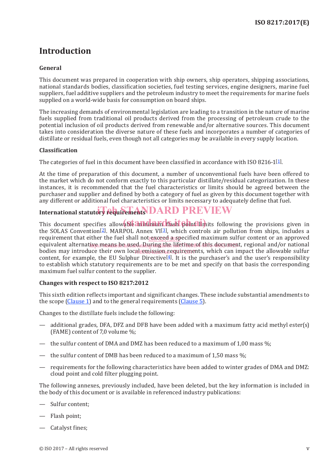## **Introduction**

#### **General**

This document was prepared in cooperation with ship owners, ship operators, shipping associations, national standards bodies, classification societies, fuel testing services, engine designers, marine fuel suppliers, fuel additive suppliers and the petroleum industry to meet the requirements for marine fuels supplied on a world-wide basis for consumption on board ships.

The increasing demands of environmental legislation are leading to a transition in the nature of marine fuels supplied from traditional oil products derived from the processing of petroleum crude to the potential inclusion of oil products derived from renewable and/or alternative sources. This document takes into consideration the diverse nature of these fuels and incorporates a number of categories of distillate or residual fuels, even though not all categories may be available in every supply location.

#### **Classification**

The categories of fuel in this document have been classified in accordance with ISO 8216-1[1].

At the time of preparation of this document, a number of unconventional fuels have been offered to the market which do not conform exactly to this particular distillate/residual categorization. In these instances, it is recommended that the fuel characteristics or limits should be agreed between the purchaser and supplier and defined by both a category of fuel as given by this document together with any different or additional fuel characteristics or limits necessary to adequately define that fuel.

## International statutory requirements DARD PREVIEW

This document specifies allowable animum flash point limits following the provisions given in the SOLAS Convention[2]. MARPOL Annex VI[3], which controls air pollution from ships, includes a requirement that either the fuel shall not exceed a specified maximum sulfur content or an approved equivalent alternative means be used thuring the lifetime of this document, regional and/or national bodies may introduce their own local emission requirements, which can impact the allowable sulfur content, for example, the EU Sulphur Directive<sup>[4]</sup>. It is the purchaser's and the user's responsibility to establish which statutory requirements are to be met and specify on that basis the corresponding maximum fuel sulfur content to the supplier.

#### **Changes with respect to ISO 8217:2012**

This sixth edition reflects important and significant changes. These include substantial amendments to the scope (Clause 1) and to the general requirements (Clause 5).

Changes to the distillate fuels include the following:

- additional grades, DFA, DFZ and DFB have been added with a maximum fatty acid methyl ester(s) (FAME) content of 7,0 volume %;
- the sulfur content of DMA and DMZ has been reduced to a maximum of 1,00 mass %;
- the sulfur content of DMB has been reduced to a maximum of 1,50 mass  $\%$ :
- requirements for the following characteristics have been added to winter grades of DMA and DMZ: cloud point and cold filter plugging point.

The following annexes, previously included, have been deleted, but the key information is included in the body of this document or is available in referenced industry publications:

- Sulfur content;
- Flash point;
- Catalyst fines;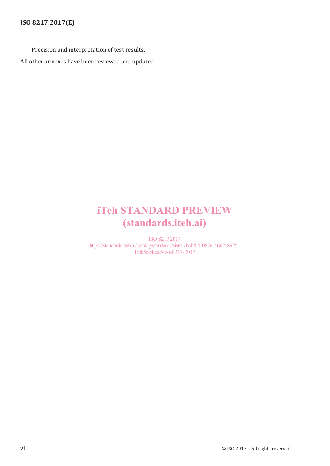## **ISO 8217:2017(E)**

— Precision and interpretation of test results.

All other annexes have been reviewed and updated.

# iTeh STANDARD PREVIEW (standards.iteh.ai)

ISO 8217:2017 https://standards.iteh.ai/catalog/standards/sist/17bcbf64-087e-4602-8925- 16f65cc4cee5/iso-8217-2017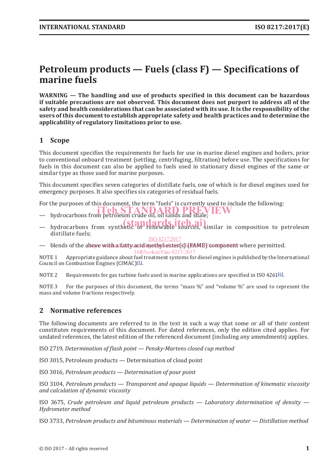## **Petroleum products — Fuels (class F) — Specifications of marine fuels**

**WARNING — The handling and use of products specified in this document can be hazardous if suitable precautions are not observed. This document does not purport to address all of the safety and health considerations that can be associated with its use. It is the responsibility of the users of this document to establish appropriate safety and health practices and to determine the applicability of regulatory limitations prior to use.**

### **1 Scope**

This document specifies the requirements for fuels for use in marine diesel engines and boilers, prior to conventional onboard treatment (settling, centrifuging, filtration) before use. The specifications for fuels in this document can also be applied to fuels used in stationary diesel engines of the same or similar type as those used for marine purposes.

This document specifies seven categories of distillate fuels, one of which is for diesel engines used for emergency purposes. It also specifies six categories of residual fuels.

For the purposes of this document, the term "fuels" is currently used to include the following:

- hydrocarbons from petroleum crude oil, oil sands and shale;
- 
- hydrocarbons from synthetic or renewable sources, similar in composition to petroleum distillate fuels; ISO 8217:2017
- blends of the above/with a fatty acid methyl ester (s) { FAME} component where permitted.

NOTE 1 Appropriate guidance about fuel treatment systems for diesel engines is published by the International Council on Combustion Engines (CIMAC)[5]. 16f65cc4cee5/iso-8217-2017

NOTE 2 Requirements for gas turbine fuels used in marine applications are specified in ISO 4261[6].

NOTE 3 For the purposes of this document, the terms "mass %" and "volume %" are used to represent the mass and volume fractions respectively.

### **2 Normative references**

The following documents are referred to in the text in such a way that some or all of their content constitutes requirements of this document. For dated references, only the edition cited applies. For undated references, the latest edition of the referenced document (including any amendments) applies.

ISO 2719, *Determination of flash point — Pensky-Martens closed cup method*

ISO 3015, Petroleum products — Determination of cloud point

ISO 3016, *Petroleum products — Determination of pour point*

ISO 3104, *Petroleum products — Transparent and opaque liquids — Determination of kinematic viscosity and calculation of dynamic viscosity*

ISO 3675, *Crude petroleum and liquid petroleum products — Laboratory determination of density — Hydrometer method*

ISO 3733, *Petroleum products and bituminous materials — Determination of water — Distillation method*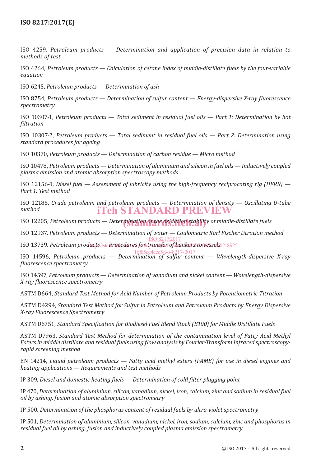## **ISO 8217:2017(E)**

ISO 4259, *Petroleum products — Determination and application of precision data in relation to methods of test*

ISO 4264, *Petroleum products — Calculation of cetane index of middle-distillate fuels by the four-variable equation*

ISO 6245, *Petroleum products — Determination of ash*

ISO 8754, *Petroleum products — Determination of sulfur content — Energy-dispersive X-ray fluorescence spectrometry*

ISO 10307-1, *Petroleum products — Total sediment in residual fuel oils — Part 1: Determination by hot filtration*

ISO 10307-2, *Petroleum products — Total sediment in residual fuel oils — Part 2: Determination using standard procedures for ageing*

ISO 10370, *Petroleum products — Determination of carbon residue — Micro method*

ISO 10478, *Petroleum products — Determination of aluminium and silicon in fuel oils — Inductively coupled plasma emission and atomic absorption spectroscopy methods*

ISO 12156-1, *Diesel fuel — Assessment of lubricity using the high-frequency reciprocating rig (HFRR) — Part 1: Test method*

ISO 12185, *Crude petroleum and petroleum products — Determination of density — Oscillating U-tube method* iTeh STANDARD PREVIEW

ISO 12205, Petroleum products — Deter<mark>mination of the oxidation stabili</mark>ty of middle-distillate fuels

ISO 12937, *Petroleum products — Determination of water — Coulometric Karl Fischer titration method* ISO 8217:2017

ISO 13739, *Petroleum products — Procedures for transfer of bunkers to vessels* https://standards.iteh.ai/catalog/standards/sist/17bcbf64-087e-4602-8925-

ISO 14596, *Petroleum products — Determination of sulfur content — Wavelength-dispersive X-ray fluorescence spectrometry* 16f65cc4cee5/iso-8217-2017

ISO 14597, *Petroleum products — Determination of vanadium and nickel content — Wavelength-dispersive X-ray fluorescence spectrometry*

ASTM D664, *Standard Test Method for Acid Number of Petroleum Products by Potentiometric Titration*

ASTM D4294, *Standard Test Method for Sulfur in Petroleum and Petroleum Products by Energy Dispersive X-ray Fluorescence Spectrometry*

ASTM D6751, *Standard Specification for Biodiesel Fuel Blend Stock (B100) for Middle Distillate Fuels*

ASTM D7963, *Standard Test Method for determination of the contamination level of Fatty Acid Methyl Esters in middle distillate and residual fuels using flow analysis by Fourier-Transform Infrared spectroscopyrapid screening method*

EN 14214, *Liquid petroleum products — Fatty acid methyl esters (FAME) for use in diesel engines and heating applications — Requirements and test methods*

IP 309, *Diesel and domestic heating fuels — Determination of cold filter plugging point*

IP 470, *Determination of aluminium, silicon, vanadium, nickel, iron, calcium, zinc and sodium in residual fuel oil by ashing, fusion and atomic absorption spectrometry*

IP 500, *Determination of the phosphorus content of residual fuels by ultra-violet spectrometry*

IP 501, *Determination of aluminium, silicon, vanadium, nickel, iron, sodium, calcium, zinc and phosphorus in residual fuel oil by ashing, fusion and inductively coupled plasma emission spectrometry*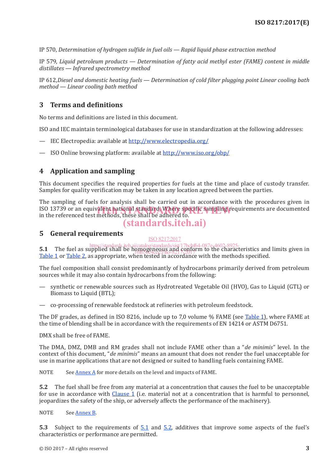IP 570, *Determination of hydrogen sulfide in fuel oils — Rapid liquid phase extraction method*

IP 579, *Liquid petroleum products — Determination of fatty acid methyl ester (FAME) content in middle distillates — Infrared spectrometry method*

IP 612,*Diesel and domestic heating fuels — Determination of cold filter plugging point Linear cooling bath method — Linear cooling bath method*

### **3 Terms and definitions**

No terms and definitions are listed in this document.

ISO and IEC maintain terminological databases for use in standardization at the following addresses:

- IEC Electropedia: available at http://www.electropedia.org/
- ISO Online browsing platform: available at http://www.iso.org/obp/

## **4 Application and sampling**

This document specifies the required properties for fuels at the time and place of custody transfer. Samples for quality verification may be taken in any location agreed between the parties.

The sampling of fuels for analysis shall be carried out in accordance with the procedures given in ISO 13739 or an equivalent pational standard. Where specific sampling requirements are documented<br>in the referenced test methods, these shall be adhered to in the referenced test methods, these shall be adhered to.

## (standards.iteh.ai)

#### **5 General requirements**

#### ISO 8217:2017

**5.1** The fuel as supplied shall be homogeneous and conform to the characteristics and limits given in The fuel as supplied shall be homogeneous and conform to the characteristics and limits given in Table 1 or Table 2, as appropriate, when tested in accordance with the methods specified. 16f65ec4cee3/iso-8217-2017

The fuel composition shall consist predominantly of hydrocarbons primarily derived from petroleum sources while it may also contain hydrocarbons from the following:

- synthetic or renewable sources such as Hydrotreated Vegetable Oil (HVO), Gas to Liquid (GTL) or Biomass to Liquid (BTL);
- co-processing of renewable feedstock at refineries with petroleum feedstock.

The DF grades, as defined in ISO 8216, include up to 7,0 volume % FAME (see Table 1), where FAME at the time of blending shall be in accordance with the requirements of EN 14214 or ASTM D6751.

#### DMX shall be free of FAME.

The DMA, DMZ, DMB and RM grades shall not include FAME other than a "*de minimis*" level. In the context of this document, "*de minimis*" means an amount that does not render the fuel unacceptable for use in marine applications that are not designed or suited to handling fuels containing FAME.

NOTE See  $\Delta$  for more details on the level and impacts of FAME.

**5.2** The fuel shall be free from any material at a concentration that causes the fuel to be unacceptable for use in accordance with Clause 1 (i.e. material not at a concentration that is harmful to personnel, jeopardizes the safety of the ship, or adversely affects the performance of the machinery).

NOTE See Annex B.

**5.3** Subject to the requirements of  $\overline{5.1}$  and  $\overline{5.2}$ , additives that improve some aspects of the fuel's characteristics or performance are permitted.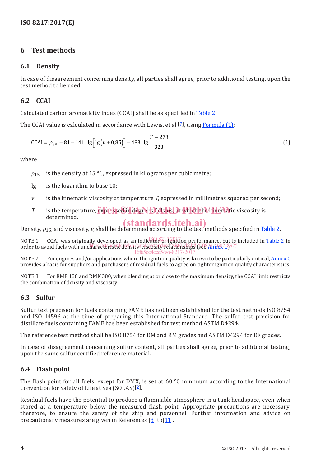## **6 Test methods**

#### **6.1 Density**

In case of disagreement concerning density, all parties shall agree, prior to additional testing, upon the test method to be used.

### **6.2 CCAI**

Calculated carbon aromaticity index (CCAI) shall be as specified in Table 2.

The CCAI value is calculated in accordance with Lewis, et al. [ $\mathbb{Z}$ ], using Formula (1):

$$
CCAI = \rho_{15} - 81 - 141 \cdot \lg \left[ \lg \left( v + 0.85 \right) \right] - 483 \cdot \lg \frac{T + 273}{323}
$$
 (1)

where

 $\rho_1$ <sub>5</sub> is the density at 15 °C, expressed in kilograms per cubic metre;

- lg is the logarithm to base 10;
- $\nu$  is the kinematic viscosity at temperature *T*, expressed in millimetres squared per second;
- $T$  is the temperature, expressed in degrees Celsius, at which the kinematic viscosity is determined. (standards.iteh.ai)

Density, *ρ*15, and viscosity, *v*, shall be determined according to the test methods specified in Table 2.

NOTE 1 CCAI was originally developed as an indicator of ignition performance, but is included in Table 2 in order to avoid fuels with uncharacteristic density-viscosity relationships (see Annex C)<sup>925-</sup> 16f65cc4cee5/iso-8217-2017

NOTE 2 For engines and/or applications where the ignition quality is known to be particularly critical, Annex C provides a basis for suppliers and purchasers of residual fuels to agree on tighter ignition quality characteristics.

NOTE 3 For RME 180 and RMK 380, when blending at or close to the maximum density, the CCAI limit restricts the combination of density and viscosity.

### **6.3 Sulfur**

Sulfur test precision for fuels containing FAME has not been established for the test methods ISO 8754 and ISO 14596 at the time of preparing this International Standard. The sulfur test precision for distillate fuels containing FAME has been established for test method ASTM D4294.

The reference test method shall be ISO 8754 for DM and RM grades and ASTM D4294 for DF grades.

In case of disagreement concerning sulfur content, all parties shall agree, prior to additional testing, upon the same sulfur certified reference material.

### **6.4 Flash point**

The flash point for all fuels, except for DMX, is set at 60 °C minimum according to the International Convention for Safety of Life at Sea (SOLAS)[2].

Residual fuels have the potential to produce a flammable atmosphere in a tank headspace, even when stored at a temperature below the measured flash point. Appropriate precautions are necessary, therefore, to ensure the safety of the ship and personnel. Further information and advice on precautionary measures are given in References  $[8]$  to  $[11]$ .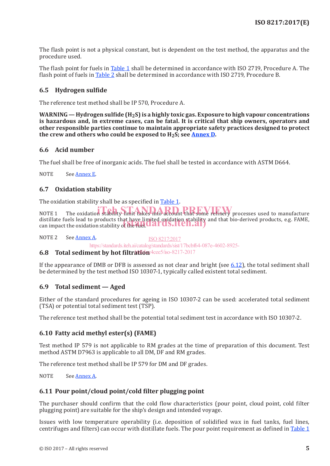The flash point is not a physical constant, but is dependent on the test method, the apparatus and the procedure used.

The flash point for fuels in Table 1 shall be determined in accordance with ISO 2719, Procedure A. The flash point of fuels in Table 2 shall be determined in accordance with ISO 2719, Procedure B.

#### **6.5 Hydrogen sulfide**

The reference test method shall be IP 570, Procedure A.

**WARNING — Hydrogen sulfide (H2S) is a highly toxic gas. Exposure to high vapour concentrations is hazardous and, in extreme cases, can be fatal. It is critical that ship owners, operators and other responsible parties continue to maintain appropriate safety practices designed to protect the crew and others who could be exposed to H2S; see Annex D.**

#### **6.6 Acid number**

The fuel shall be free of inorganic acids. The fuel shall be tested in accordance with ASTM D664.

NOTE See Annex E.

#### **6.7 Oxidation stability**

The oxidation stability shall be as specified in Table 1.

NOTE 1 The oxidation stability limit takes into account that some refinery processes used to manufacture distillate fuels lead to products that have limited oxidation stability and that bio-derived products, e.g. FAME,<br>can impact the oxidation stability of the fuel. Can COS. ICCI..AI can impact the oxidation stability of the fuel.  $^{\prime}$  at  $^{\prime}$  (S. IUCII. all

NOTE 2 See Annex A. ISO 8217:2017

https://standards.iteh.ai/catalog/standards/sist/17bcbf64-087e-4602-8925-

#### **6.8** Total sediment by hot filtration 4cee5/iso-8217-2017

If the appearance of DMB or DFB is assessed as not clear and bright (see 6.12), the total sediment shall be determined by the test method ISO 10307‑1, typically called existent total sediment.

#### **6.9 Total sediment — Aged**

Either of the standard procedures for ageing in ISO 10307-2 can be used: accelerated total sediment (TSA) or potential total sediment test (TSP).

The reference test method shall be the potential total sediment test in accordance with ISO 10307-2.

#### **6.10 Fatty acid methyl ester(s) (FAME)**

Test method IP 579 is not applicable to RM grades at the time of preparation of this document. Test method ASTM D7963 is applicable to all DM, DF and RM grades.

The reference test method shall be IP 579 for DM and DF grades.

NOTE See Annex A.

#### **6.11 Pour point/cloud point/cold filter plugging point**

The purchaser should confirm that the cold flow characteristics (pour point, cloud point, cold filter plugging point) are suitable for the ship's design and intended voyage.

Issues with low temperature operability (i.e. deposition of solidified wax in fuel tanks, fuel lines, centrifuges and filters) can occur with distillate fuels. The pour point requirement as defined in Table 1